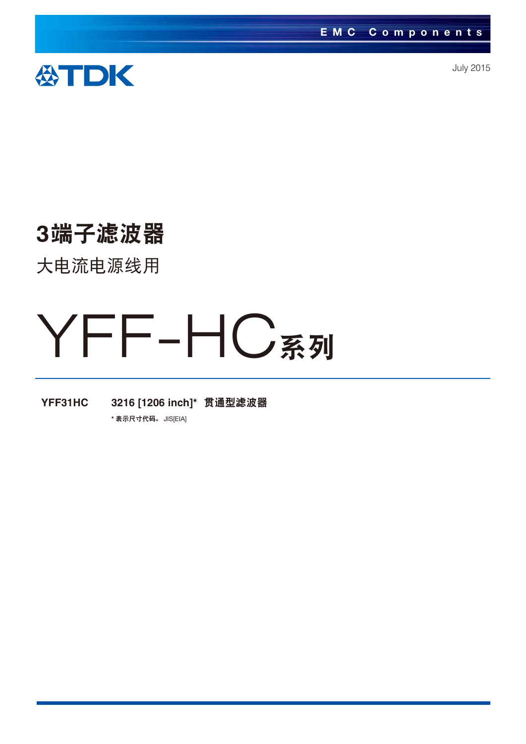

July 2015

# 3端子滤波器

大电流电源线用

# YFF-HC系列

YFF31HC 3216 [1206 inch]\* 贯通型滤波器

\* 表示尺寸代码。 JIS[EIA]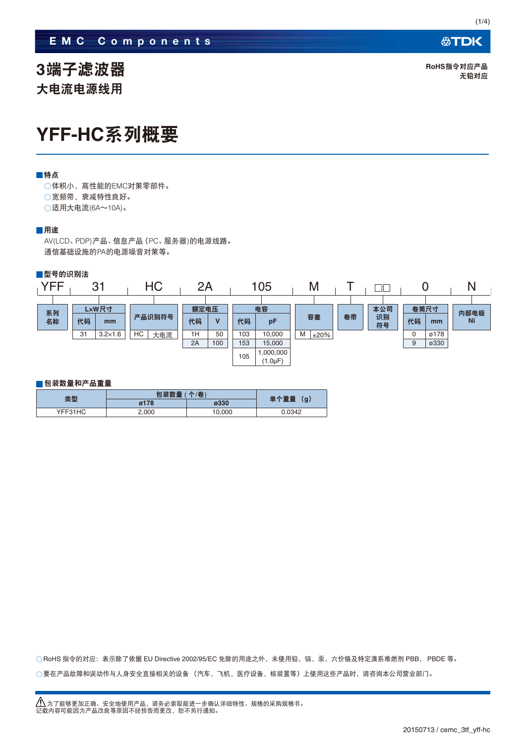### **EMC Components**

3端子滤波器 大申流申源线用

### YFF-HC系列概要

#### ■特点

○体积小, 高性能的EMC对策零部件。 ○宽频带, 衰减特性良好。 ○适用大电流(6A~10A)。

### ■用途

AV(LCD、PDP)产品、信息产品(PC、服务器)的电源线路。 通信基础设施的PA的电源噪音对策等。



#### ■包装数量和产品重量

|         | 包装数量 (个/卷) |        |             |  |
|---------|------------|--------|-------------|--|
| 类型      | ø178       | ø330   | 单个重量<br>(g) |  |
| YFF31HC | 2,000      | 10,000 | 0.0342      |  |

 $\bigcirc$  要在产品故障和误动作与人身安全直接相关的设备 (汽车,飞机,医疗设备,核装置等)上使用这些产品时,请咨询本公司营业部门。 ○ RoHS 指令的对应:表示除了依据 EU Directive 2002/95/EC 免除的用途之外,未使用铅,镉,汞,六价铬及特定溴系难燃剂 PBB, PBDE 等。  $(1/4)$ 

**RoHS指今对应产品** 无铅对应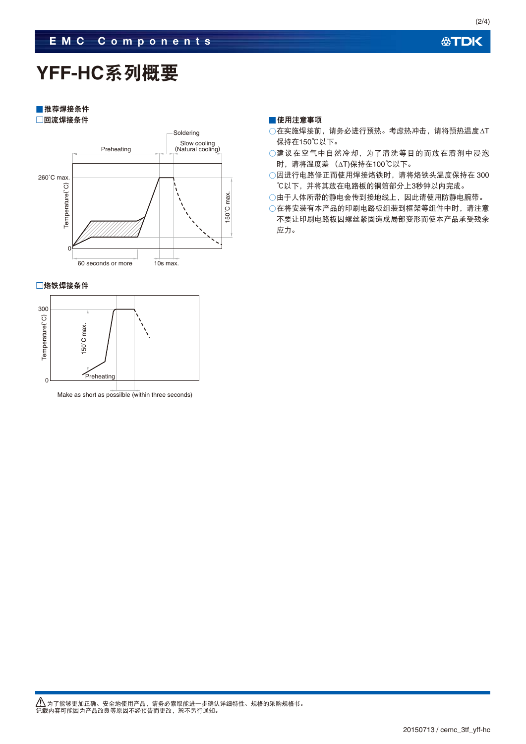(2/4)

## YFF-HC系列概要

■推荐焊接条件 □回流焊接条件



□烙铁焊接条件



#### ■使用注意事项

- 在实施焊接前, 请务必进行预热。考虑热冲击, 请将预热温度△T 保持在150℃以下。
- ○建议在空气中自然冷却,为了清洗等目的而放在溶剂中浸泡 时, 请将温度差 (△T)保持在100℃以下。
- ○因进行电路修正而使用焊接烙铁时, 请将烙铁头温度保持在300 ℃以下,并将其放在电路板的铜箔部分上3秒钟以内完成。
- ○由于人体所带的静电会传到接地线上,因此请使用防静电腕带。

○在将安装有本产品的印刷电路板组装到框架等组件中时,请注意 不要让印刷电路板因螺丝紧固造成局部变形而使本产品承受残余 应力。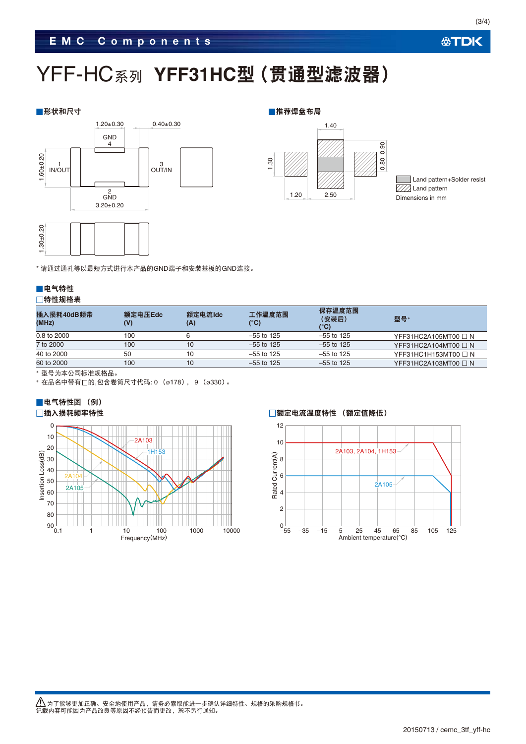### **EMC Components**

# YFF-HC系列 YFF31HC型(贯通型滤波器)

#### ██ 形状和尺寸 ■推荐焊盘布局





Land pattern+Solder resist  $\overline{\text{VZ}}$  Land pattern Dimensions in mm

\* 请通过通孔等以最短方式进行本产品的GND端子和安装基板的GND连接。

### ■电气特性 □特性规格表

| 插入损耗40dB频带<br>(MHz) | 额定电压Edc | 额定电流Idc<br>(A) | 工作温度范围<br>(°C) | 保存温度范围<br>(安装后)<br>(°C) | 型묵*                       |
|---------------------|---------|----------------|----------------|-------------------------|---------------------------|
| 0.8 to 2000         | 100     |                | $-55$ to 125   | $-55$ to 125            | YFF31HC2A105MT00 $\Box$ N |
| 7 to 2000           | 100     | 10             | $-55$ to 125   | $-55$ to 125            | YFF31HC2A104MT00 $\Box$ N |
| 40 to 2000          | 50      | 10             | $-55$ to 125   | $-55$ to 125            | YFF31HC1H153MT00 $\Box$ N |
| 60 to 2000          | 100     | 10             | $-55$ to 125   | $-55$ to 125            | YFF31HC2A103MT00 $\Box$ N |

\* 型号为本公司标准规格品。

\* 在品名中带有□的,包含卷筒尺寸代码: 0 (ø178), 9 (ø330)。

### ■电气特性图 (例)





**公TDK**